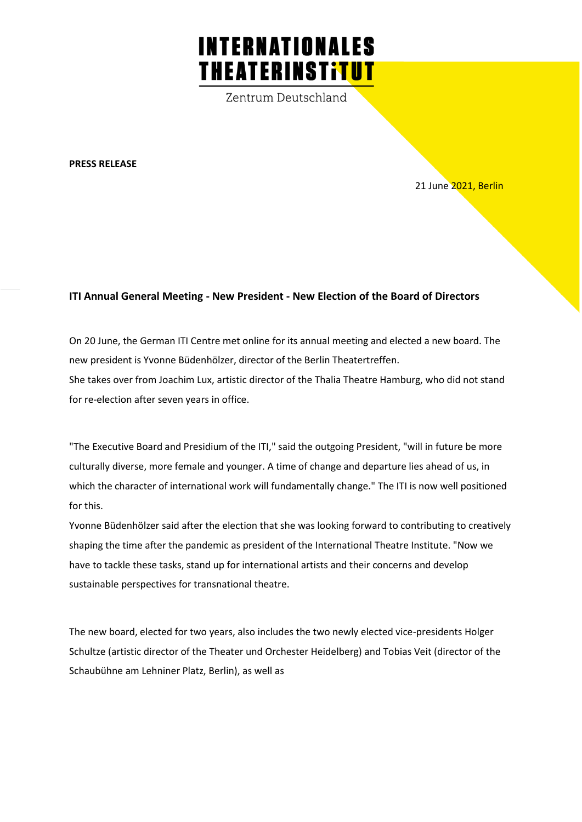## **INTERNATIONALES THEATERINSTITUT**

Zentrum Deutschland

**PRESS RELEASE**

21 June 2021, Berlin

## **ITI Annual General Meeting - New President - New Election of the Board of Directors**

On 20 June, the German ITI Centre met online for its annual meeting and elected a new board. The new president is Yvonne Büdenhölzer, director of the Berlin Theatertreffen. She takes over from Joachim Lux, artistic director of the Thalia Theatre Hamburg, who did not stand for re-election after seven years in office.

"The Executive Board and Presidium of the ITI," said the outgoing President, "will in future be more culturally diverse, more female and younger. A time of change and departure lies ahead of us, in which the character of international work will fundamentally change." The ITI is now well positioned for this.

Yvonne Büdenhölzer said after the election that she was looking forward to contributing to creatively shaping the time after the pandemic as president of the International Theatre Institute. "Now we have to tackle these tasks, stand up for international artists and their concerns and develop sustainable perspectives for transnational theatre.

The new board, elected for two years, also includes the two newly elected vice-presidents Holger Schultze (artistic director of the Theater und Orchester Heidelberg) and Tobias Veit (director of the Schaubühne am Lehniner Platz, Berlin), as well as